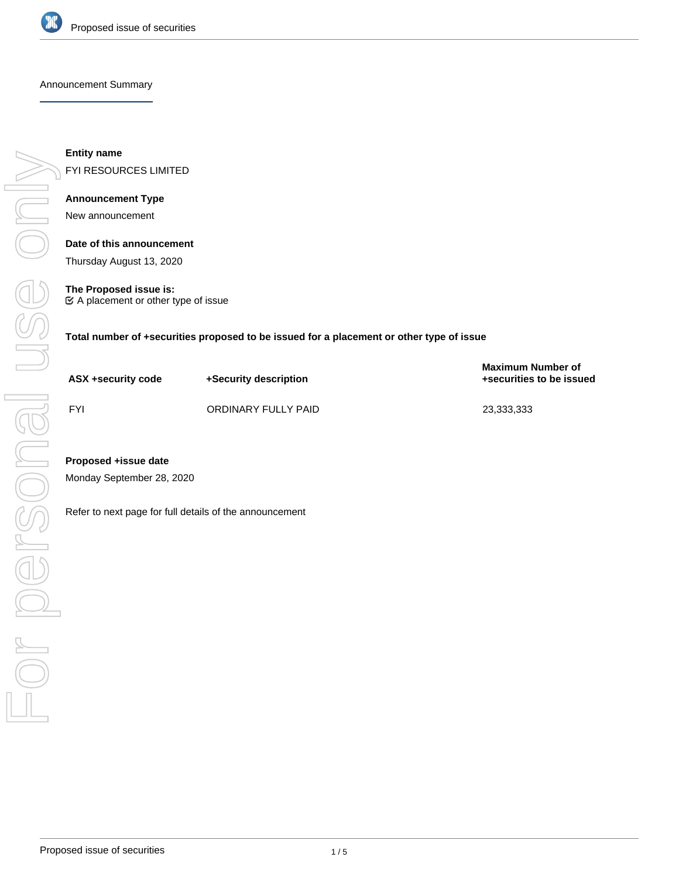

Announcement Summary

**Entity name** FYI RESOURCES LIMITED **Announcement Type**

New announcement

**Date of this announcement** Thursday August 13, 2020

**The Proposed issue is:**  $\mathfrak C$  A placement or other type of issue

**Total number of +securities proposed to be issued for a placement or other type of issue**

| ASX +security code | +Security description | <b>Maximum Number of</b><br>+securities to be issued |
|--------------------|-----------------------|------------------------------------------------------|
| <b>FYI</b>         | ORDINARY FULLY PAID   | 23,333,333                                           |

# **Proposed +issue date**

Monday September 28, 2020

Refer to next page for full details of the announcement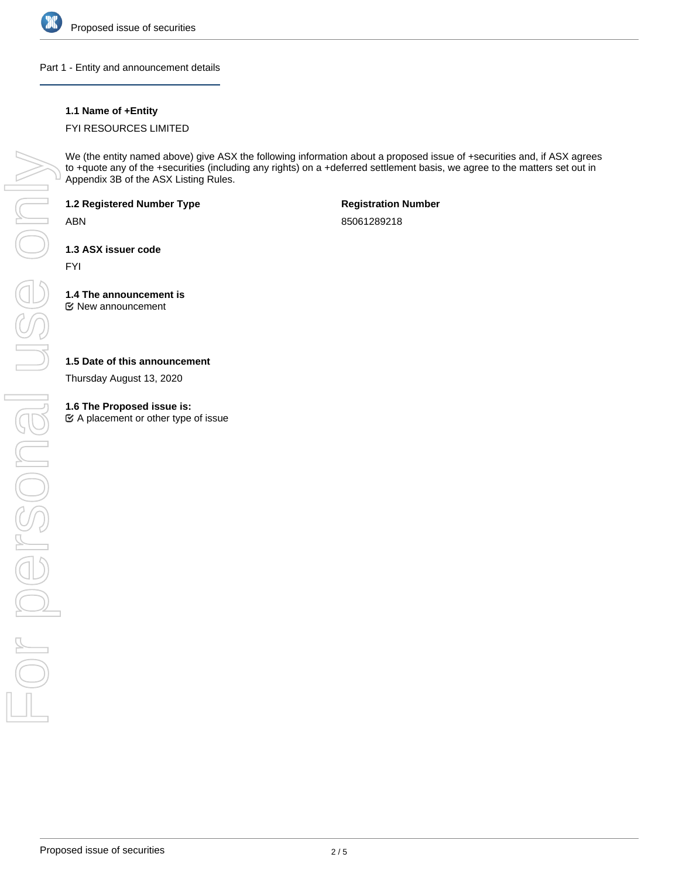

## Part 1 - Entity and announcement details

# **1.1 Name of +Entity**

# FYI RESOURCES LIMITED

We (the entity named above) give ASX the following information about a proposed issue of +securities and, if ASX agrees to +quote any of the +securities (including any rights) on a +deferred settlement basis, we agree to the matters set out in Appendix 3B of the ASX Listing Rules.

**1.2 Registered Number Type**

ABN

**Registration Number**

85061289218

**1.3 ASX issuer code**

FYI

**1.4 The announcement is** New announcement

# **1.5 Date of this announcement**

Thursday August 13, 2020

## **1.6 The Proposed issue is:**

 $\mathfrak{C}$  A placement or other type of issue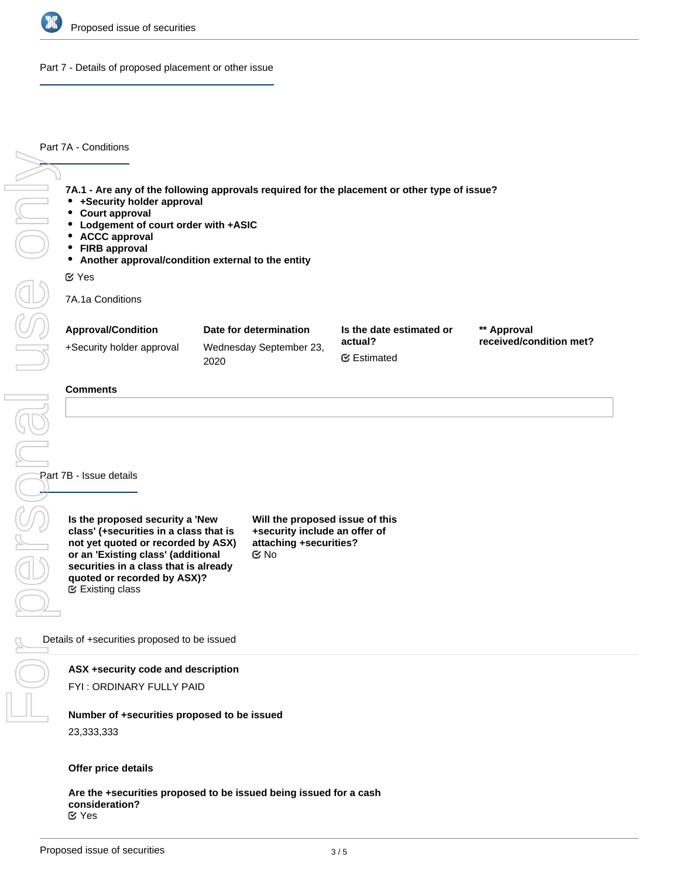

Part 7 - Details of proposed placement or other issue

Part 7A - Conditions

- **+Security holder approval**
- $\bullet$ **Court approval**
- $\bullet$ **Lodgement of court order with +ASIC**
- $\bullet$ **ACCC approval**
- $\bullet$ **FIRB approval**
- **Another approval/condition external to the entity**

| +Security holder approval<br><b>Court approval</b><br>Lodgement of court order with +ASIC<br><b>ACCC approval</b><br><b>FIRB approval</b><br>Another approval/condition external to the entity<br>٠                                                      |                        |                                                                                                                 | 7A.1 - Are any of the following approvals required for the placement or other type of issue? |                         |
|----------------------------------------------------------------------------------------------------------------------------------------------------------------------------------------------------------------------------------------------------------|------------------------|-----------------------------------------------------------------------------------------------------------------|----------------------------------------------------------------------------------------------|-------------------------|
| $\mathfrak{C}$ Yes                                                                                                                                                                                                                                       |                        |                                                                                                                 |                                                                                              |                         |
| 7A.1a Conditions                                                                                                                                                                                                                                         |                        |                                                                                                                 |                                                                                              |                         |
| <b>Approval/Condition</b>                                                                                                                                                                                                                                | Date for determination |                                                                                                                 | Is the date estimated or                                                                     | ** Approval             |
| +Security holder approval<br>2020                                                                                                                                                                                                                        |                        | Wednesday September 23,                                                                                         | actual?<br><b></b> ∉ Estimated                                                               | received/condition met? |
| <b>Comments</b>                                                                                                                                                                                                                                          |                        |                                                                                                                 |                                                                                              |                         |
|                                                                                                                                                                                                                                                          |                        |                                                                                                                 |                                                                                              |                         |
|                                                                                                                                                                                                                                                          |                        |                                                                                                                 |                                                                                              |                         |
|                                                                                                                                                                                                                                                          |                        |                                                                                                                 |                                                                                              |                         |
| Rart 7B - Issue details                                                                                                                                                                                                                                  |                        |                                                                                                                 |                                                                                              |                         |
| Is the proposed security a 'New<br>class' (+securities in a class that is<br>not yet quoted or recorded by ASX)<br>or an 'Existing class' (additional<br>securities in a class that is already<br>quoted or recorded by ASX)?<br><b>■ Existing class</b> |                        | Will the proposed issue of this<br>+security include an offer of<br>attaching +securities?<br>$\mathfrak{C}$ No |                                                                                              |                         |
| Details of +securities proposed to be issued                                                                                                                                                                                                             |                        |                                                                                                                 |                                                                                              |                         |
| ASX +security code and description                                                                                                                                                                                                                       |                        |                                                                                                                 |                                                                                              |                         |
| FYI: ORDINARY FULLY PAID                                                                                                                                                                                                                                 |                        |                                                                                                                 |                                                                                              |                         |
| Number of +securities proposed to be issued                                                                                                                                                                                                              |                        |                                                                                                                 |                                                                                              |                         |

# **Comments**

## **ASX +security code and description**

## **Number of +securities proposed to be issued**

23,333,333

#### **Offer price details**

**Are the +securities proposed to be issued being issued for a cash consideration?** Yes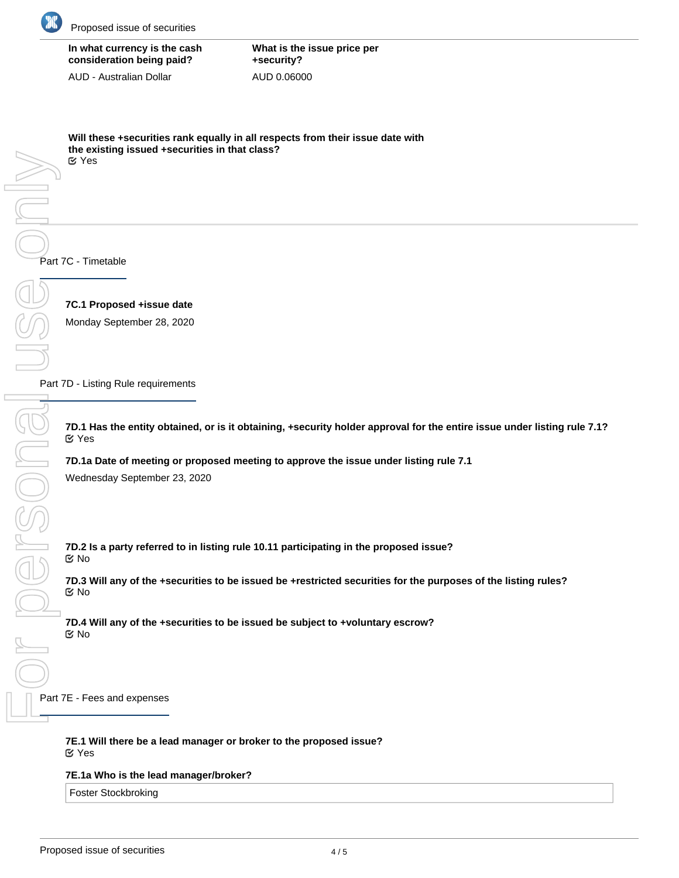

| In what currency is the cash |
|------------------------------|
| consideration being paid?    |

AUD - Australian Dollar

**What is the issue price per +security?** AUD 0.06000

**Will these +securities rank equally in all respects from their issue date with the existing issued +securities in that class?** Yes

**7C.1 Proposed +issue date** Monday September 28, 2020

Part 7D - Listing Rule requirements

**7D.1 Has the entity obtained, or is it obtaining, +security holder approval for the entire issue under listing rule 7.1?** Yes

**7D.1a Date of meeting or proposed meeting to approve the issue under listing rule 7.1**

Wednesday September 23, 2020

**7D.2 Is a party referred to in listing rule 10.11 participating in the proposed issue?** No

**7D.3 Will any of the +securities to be issued be +restricted securities for the purposes of the listing rules?** No

**7D.4 Will any of the +securities to be issued be subject to +voluntary escrow?** No

 $\Box$  Part 7E - Fees and expenses

**7E.1 Will there be a lead manager or broker to the proposed issue?** Yes

**7E.1a Who is the lead manager/broker?**

Foster Stockbroking